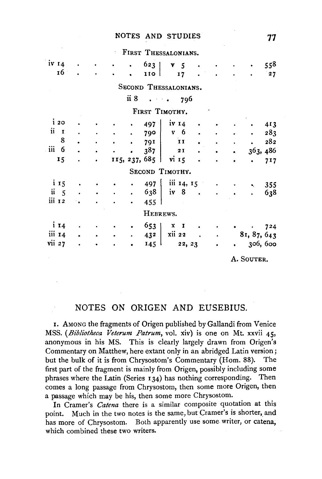## NOTES AND STUDIES 77

FIRST THESSALONIANS.

|                          |           |           |           |                      | <b>FIRST I HESSALONIANS.</b>                              |   |                |                |                                                                 |           |             |     |
|--------------------------|-----------|-----------|-----------|----------------------|-----------------------------------------------------------|---|----------------|----------------|-----------------------------------------------------------------|-----------|-------------|-----|
| $iv_14$                  | $\bullet$ |           | $\bullet$ |                      | $623$                                                     |   | v <sub>5</sub> |                |                                                                 |           |             | 558 |
| 16 ·                     |           | $\bullet$ |           |                      | 110 l                                                     |   | 17             |                |                                                                 |           |             | 27  |
|                          |           |           |           |                      | SECOND THESSALONIANS.                                     |   |                |                |                                                                 |           |             |     |
|                          |           |           |           | ii 8                 | $\mathbf{a}$ , $\mathbf{b}$ , $\mathbf{b}$ , $\mathbf{a}$ |   | 796            |                |                                                                 |           |             |     |
|                          |           |           |           |                      | FIRST TIMOTHY.                                            |   |                |                |                                                                 |           |             |     |
| i20                      |           |           |           |                      | 497                                                       |   | iv $14$        |                |                                                                 |           |             | 413 |
| ii<br>$\mathbf{I}$       |           |           |           | $\bullet$            | 790                                                       |   | v <sub>6</sub> |                |                                                                 |           |             | 283 |
| 8                        |           |           |           | $\bullet$            | 791                                                       |   | $\mathbf{H}$   |                |                                                                 |           |             | 282 |
| $\ddot{\mathbf{m}}$<br>6 |           |           |           | $\bullet$            | 387                                                       |   | 2 I            | $\bullet$      |                                                                 | $\bullet$ | 363, 486    |     |
| 15                       |           |           |           |                      | 115, 237, 685                                             |   | $vi$ $15$      |                |                                                                 | $\bullet$ |             | 717 |
|                          |           |           |           |                      | SECOND TIMOTHY.                                           |   |                |                |                                                                 |           |             |     |
| $\frac{1}{1}$ 15         |           |           |           |                      | $497 \;  $                                                |   |                | iii $14, 15$   | $\bullet$ .                                                     |           | ĸ.          | 355 |
| $ii \quad 5$             |           |           |           | $\ddot{\phantom{0}}$ | 638                                                       |   |                | $iv \quad 8$ . |                                                                 |           |             | 638 |
| iii 12                   |           |           |           | $\bullet$            | 455                                                       |   |                |                |                                                                 |           |             |     |
|                          |           |           |           |                      | HEBREWS.                                                  |   |                |                |                                                                 |           |             |     |
| $i_{14}$                 |           |           |           |                      | 653                                                       | x | $\mathbf{I}$   |                |                                                                 |           | $\bullet$ . | 724 |
| iii 14                   |           | $\bullet$ |           | $\blacksquare$       | 432                                                       |   |                | $xii 22$ .     | $\bullet$ .<br><br><br><br><br><br><br><br><br><br><br><br><br> |           | 81, 87, 643 |     |
| vii 27                   |           |           |           |                      | $145-1$                                                   |   |                | 22, 23         | $\bullet$                                                       | $\bullet$ | 306, 600    |     |
|                          |           |           |           |                      |                                                           |   |                |                |                                                                 |           | A. SOUTER.  |     |

## NOTES ON ORIGEN AND EUSEBIUS.

1. AMONG the fragments of Origen published by Gallandi from Venice MSS. (Bibliotheca Veterum Patrum, vol. xiv) is one on Mt. xxvii 45, anonymous in his MS. This is clearly largely drawn from Origen's Commentary on Matthew, here extant only in an abridged Latin version j but the bulk of it is from Chrysostom's Commentary (Hom. 88). The first part of the fragment is mainly from Origen, possibly including some phrases where the Latin (Series 134) has nothing corresponding. Then comes a long passage from Chrysostom, then some more Origen, then a passage which may be his, then some more Chrysostom.

In Cramer's *Catena* there is a similar composite quotation at this point. Much in the two notes is the same, but Cramer's is shorter, and has more of Chrysostom. Both apparently use some writer, or catena, which combined these two writers.